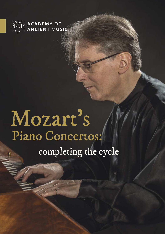

# Mozart's Piano Concertos: completing the cycle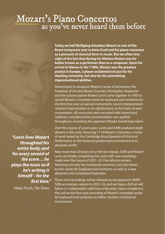#### Mozart's Piano Concertos as you've never heard them before

**Today we hail Wolfgang Amadeus Mozart as one of the finest composers ever to have lived and his piano concertos as a pinnacle of classical form in music. But we often lose sight of the fact that during his lifetime Mozart was far better known as a performer than as a composer. Upon his arrival in Vienna in the 1780s, Mozart was the greatest pianist in Europe, a player acclaimed not just for his dazzling virtuosity, but also for his astonishing improvisational abilities.** 

Determined to recapture Mozart's sense of adventure, the Academy of Ancient Music's founder Christopher Hogwood and the scholar-pianist Robert Levin came together in 1993 to record Mozart's complete works for keyboard and orchestra for the first time ever on period instruments. Levin's interpretation restored improvisation to its rightful place at the heart of each composition. All concertos were recorded with improvised cadenzas, and decorative ornamentation was applied throughout, recreating the approach Mozart would have taken.

*"Levin lives Mozart throughout his entire body, and for every second of the score… he plays the music as if he's writing it himself – for the first time."* 

Hilary Finch, The Times

Over the course of seven years, Levin and AAM produced eight albums in this style, featuring 17 of Mozart's concertos, a body of work hailed by the Cambridae Encyclopaedia of Historical Performance as 'the historical performance movement at its absolute zenith'.

Now more than 20 years since the last release, AAM and Robert Levin are finally completing the cycle with new recordings made over the course of 2021–22. Five albums remain, featuring not only the numbered concertos, but also lesserknown works for keyboard and orchestra, as well as a new discovery and completed fragments.

These new recordings will be released as we approach AAM's 50th anniversary season in 2023–24, and we hope a full set will follow (in collaboration with Decca Records). Upon completion, this will be the first-ever recording of Mozart's complete works for keyboard and orchestra on either modern or historical instruments.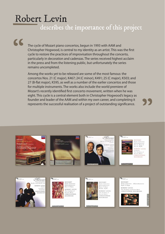### Robert Levin

describes the importance of this project

"

The cycle of Mozart piano concertos, begun in 1993 with AAM and Christopher Hogwood, is central to my identity as an artist. This was the first cycle to restore the practices of improvisation throughout the concerto, particularly in decoration and cadenzas. The series received highest acclaim in the press and from the listening public, but unfortunately the series remains uncompleted.

Among the works yet to be released are some of the most famous: the concertos Nos. 21 (C major), K467; 24 (C minor), K491; 25 (C major), K503; and 27 (B-flat major), K595, as well as a number of the earlier concertos and those for multiple instruments. The works also include the world premiere of Mozart's recently identified first concerto movement, written when he was eight. This cycle is a central element both in Christopher Hogwood's legacy as founder and leader of the AAM and within my own career, and completing it represents the successful realisation of a project of outstanding significance.















ROBERT LEVIN HRISTOPHER ocwoon



"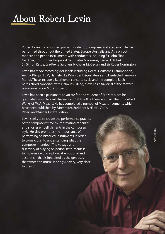#### About Robert Levin

Robert Levin is a renowned pianist, conductor, composer and academic. He has performed throughout the United States, Europe, Australia and Asia on both modern and period instruments with conductors including Sir John Eliot Gardiner, Christopher Hogwood, Sir Charles Mackerras, Bernard Haitink, Sir Simon Rattle, Esa-Pekka Salonen, Nicholas McGegan and Sir Roger Norrington.

Levin has made recordings for labels including Decca, Deutsche Grammophon, Archiv, Philips, ECM, Hänssler, Le Palais des Dégustateurs and Deutsche Harmonia Mundi. These include a Beethoven concerto cycle and the complete Bach harpsichord concertos with Helmuth Rilling, as well as a traversal of the Mozart piano sonatas on Mozart's piano.

Levin has been a passionate advocate for, and student of, Mozart, since he graduated from Harvard University in 1968 with a thesis entitled 'The Unfinished Works of W. A. Mozart'. He has completed a number of Mozart fragments which have been published by Bärenreiter, Breitkopf & Härtel, Carus, Peters and Wiener Urtext Edition.

Levin seeks to re-create the performance practice of the composers' time by improvising cadenzas and shorter embellishments in the composers' style. He also promotes the importance of performing on historical instruments in order to come closer to understanding what the composer intended. "The voyage and discovery of playing on period instruments is to move in a world – physical, emotional and aesthetic – that is inhabited by the geniuses that wrote this music. It brings us very, very close to them"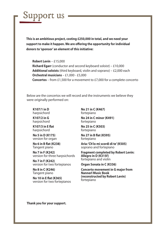

**This is an ambitious project, costing £250,000 in total, and we need your support to make it happen. We are offering the opportunity for individual donors to 'sponsor' an element of this initiative:**

**Robert Levin** – £15,000 **Richard Egarr** (conductor and second keyboard soloist) – £10,000 **Additional soloists** (third keyboard, violin and soprano) – £2,000 each **Orchestral musicians** – £1,000 - £5,000 **Concertos** – from £1,500 for a movement to £7,000 for a complete concerto

Below are the concertos we will record and the instruments we believe they were originally performed on:

**K107/1 in D**  harpsichord

**K107/2 in G**  harpsichord

**K107/3 in E flat**  harpsichord

**No 5 in D (K175)**  version for organ

**No 6 in B flat (K238)**  Tangent piano

**No 7 in F (K242)**  version for three harpsichords

**No 7 in F (K242)**  version for two fortepianos

**No 8 in C (K246)**  Tangent piano

**No 10 in E flat (K365)**  version for two fortepianos **No 21 in C (K467)**  fortepiano

**No 24 in C minor (K491)**  fortepiano

**No 25 in C (K503)**  fortepiano

**No 27 in B flat (K595)**  fortepiano

**Aria: 'Ch'io mi scordi di te' (K505)**  soprano and fortepiano

**Fragment completed by Robert Levin: Allegro in D (K315f)**  fortepiano and violin

**Organ Sonata in C (K336)** 

**Concerto movement in G major from Nannerl Music Book (reconstructed by Robert Levin)**  fortepiano

**Thank you for your support.**